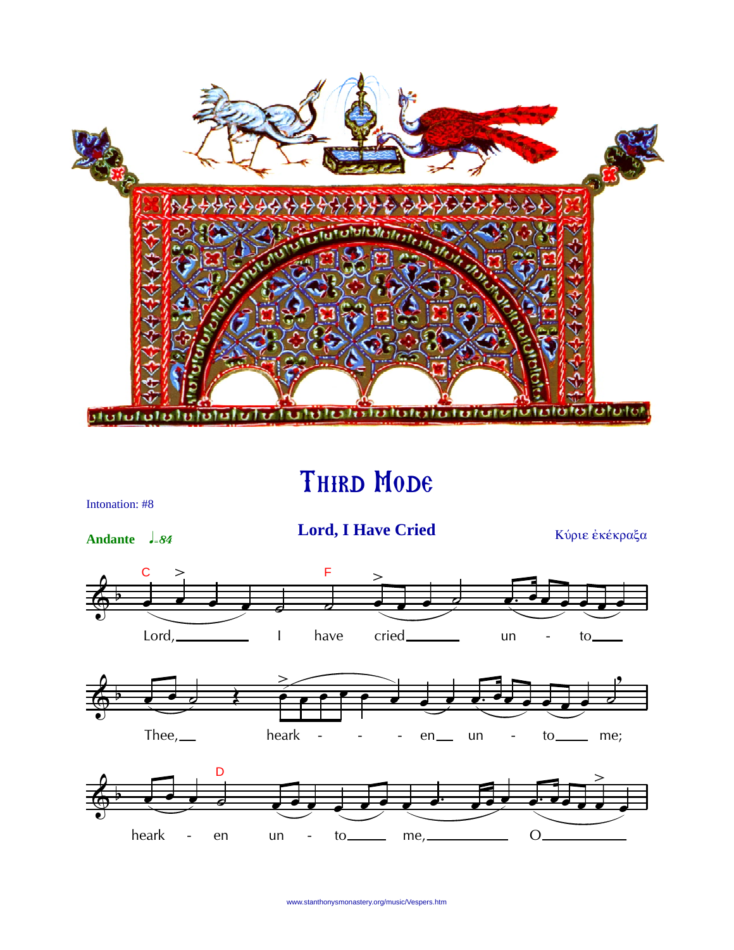

## THIRD MODE



www.stanthonysmonastery.org/music/Vespers.htm